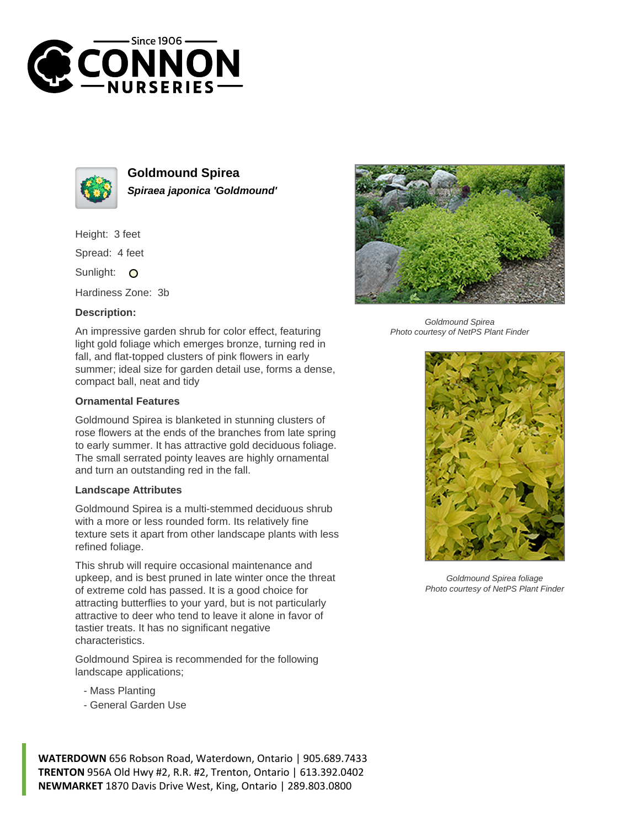



**Goldmound Spirea Spiraea japonica 'Goldmound'**

Height: 3 feet

Spread: 4 feet

Sunlight: O

Hardiness Zone: 3b

## **Description:**

An impressive garden shrub for color effect, featuring light gold foliage which emerges bronze, turning red in fall, and flat-topped clusters of pink flowers in early summer; ideal size for garden detail use, forms a dense, compact ball, neat and tidy

## **Ornamental Features**

Goldmound Spirea is blanketed in stunning clusters of rose flowers at the ends of the branches from late spring to early summer. It has attractive gold deciduous foliage. The small serrated pointy leaves are highly ornamental and turn an outstanding red in the fall.

## **Landscape Attributes**

Goldmound Spirea is a multi-stemmed deciduous shrub with a more or less rounded form. Its relatively fine texture sets it apart from other landscape plants with less refined foliage.

This shrub will require occasional maintenance and upkeep, and is best pruned in late winter once the threat of extreme cold has passed. It is a good choice for attracting butterflies to your yard, but is not particularly attractive to deer who tend to leave it alone in favor of tastier treats. It has no significant negative characteristics.

Goldmound Spirea is recommended for the following landscape applications;

- Mass Planting
- General Garden Use





Goldmound Spirea Photo courtesy of NetPS Plant Finder



Goldmound Spirea foliage Photo courtesy of NetPS Plant Finder

**WATERDOWN** 656 Robson Road, Waterdown, Ontario | 905.689.7433 **TRENTON** 956A Old Hwy #2, R.R. #2, Trenton, Ontario | 613.392.0402 **NEWMARKET** 1870 Davis Drive West, King, Ontario | 289.803.0800